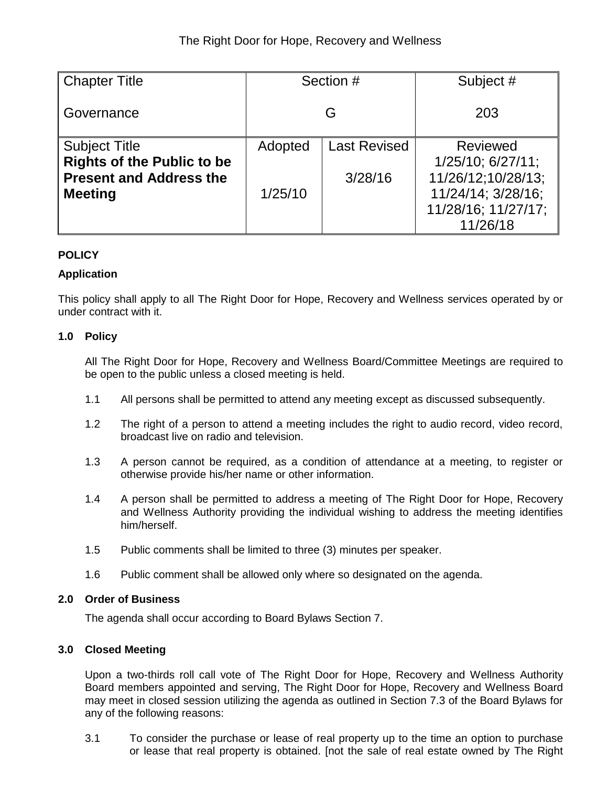| Chapter Title                     | Section # |                     | Subject #           |  |
|-----------------------------------|-----------|---------------------|---------------------|--|
| Governance                        |           | G                   | 203                 |  |
| <b>Subject Title</b>              | Adopted   | <b>Last Revised</b> | <b>Reviewed</b>     |  |
| <b>Rights of the Public to be</b> |           |                     | 1/25/10; 6/27/11;   |  |
| <b>Present and Address the</b>    |           | 3/28/16             | 11/26/12;10/28/13;  |  |
| <b>Meeting</b>                    | 1/25/10   |                     | 11/24/14; 3/28/16;  |  |
|                                   |           |                     | 11/28/16; 11/27/17; |  |
|                                   |           |                     | 11/26/18            |  |

# **POLICY**

# **Application**

This policy shall apply to all The Right Door for Hope, Recovery and Wellness services operated by or under contract with it.

# **1.0 Policy**

All The Right Door for Hope, Recovery and Wellness Board/Committee Meetings are required to be open to the public unless a closed meeting is held.

- 1.1 All persons shall be permitted to attend any meeting except as discussed subsequently.
- 1.2 The right of a person to attend a meeting includes the right to audio record, video record, broadcast live on radio and television.
- 1.3 A person cannot be required, as a condition of attendance at a meeting, to register or otherwise provide his/her name or other information.
- 1.4 A person shall be permitted to address a meeting of The Right Door for Hope, Recovery and Wellness Authority providing the individual wishing to address the meeting identifies him/herself.
- 1.5 Public comments shall be limited to three (3) minutes per speaker.
- 1.6 Public comment shall be allowed only where so designated on the agenda.

## **2.0 Order of Business**

The agenda shall occur according to Board Bylaws Section 7.

## **3.0 Closed Meeting**

Upon a two-thirds roll call vote of The Right Door for Hope, Recovery and Wellness Authority Board members appointed and serving, The Right Door for Hope, Recovery and Wellness Board may meet in closed session utilizing the agenda as outlined in Section 7.3 of the Board Bylaws for any of the following reasons:

3.1 To consider the purchase or lease of real property up to the time an option to purchase or lease that real property is obtained. [not the sale of real estate owned by The Right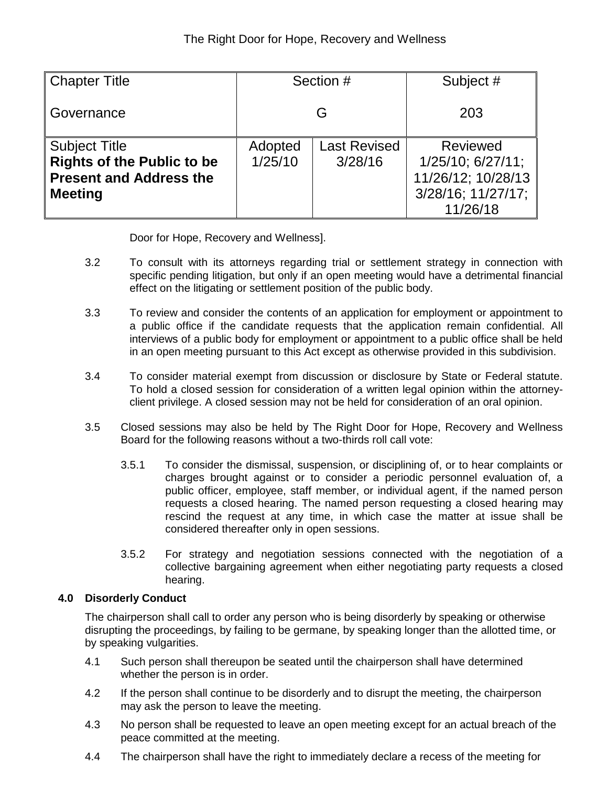| <b>Chapter Title</b>                                                                                          |                    | Section #                      | Subject #                                                                                          |  |
|---------------------------------------------------------------------------------------------------------------|--------------------|--------------------------------|----------------------------------------------------------------------------------------------------|--|
| Governance                                                                                                    | G                  |                                | 203                                                                                                |  |
| <b>Subject Title</b><br><b>Rights of the Public to be</b><br><b>Present and Address the</b><br><b>Meeting</b> | Adopted<br>1/25/10 | <b>Last Revised</b><br>3/28/16 | <b>Reviewed</b><br>$1/25/10$ ; $6/27/11$ ;<br>11/26/12; 10/28/13<br>3/28/16; 11/27/17;<br>11/26/18 |  |

Door for Hope, Recovery and Wellness].

- 3.2 To consult with its attorneys regarding trial or settlement strategy in connection with specific pending litigation, but only if an open meeting would have a detrimental financial effect on the litigating or settlement position of the public body.
- 3.3 To review and consider the contents of an application for employment or appointment to a public office if the candidate requests that the application remain confidential. All interviews of a public body for employment or appointment to a public office shall be held in an open meeting pursuant to this Act except as otherwise provided in this subdivision.
- 3.4 To consider material exempt from discussion or disclosure by State or Federal statute. To hold a closed session for consideration of a written legal opinion within the attorneyclient privilege. A closed session may not be held for consideration of an oral opinion.
- 3.5 Closed sessions may also be held by The Right Door for Hope, Recovery and Wellness Board for the following reasons without a two-thirds roll call vote:
	- 3.5.1 To consider the dismissal, suspension, or disciplining of, or to hear complaints or charges brought against or to consider a periodic personnel evaluation of, a public officer, employee, staff member, or individual agent, if the named person requests a closed hearing. The named person requesting a closed hearing may rescind the request at any time, in which case the matter at issue shall be considered thereafter only in open sessions.
	- 3.5.2 For strategy and negotiation sessions connected with the negotiation of a collective bargaining agreement when either negotiating party requests a closed hearing.

## **4.0 Disorderly Conduct**

The chairperson shall call to order any person who is being disorderly by speaking or otherwise disrupting the proceedings, by failing to be germane, by speaking longer than the allotted time, or by speaking vulgarities.

- 4.1 Such person shall thereupon be seated until the chairperson shall have determined whether the person is in order.
- 4.2 If the person shall continue to be disorderly and to disrupt the meeting, the chairperson may ask the person to leave the meeting.
- 4.3 No person shall be requested to leave an open meeting except for an actual breach of the peace committed at the meeting.
- 4.4 The chairperson shall have the right to immediately declare a recess of the meeting for